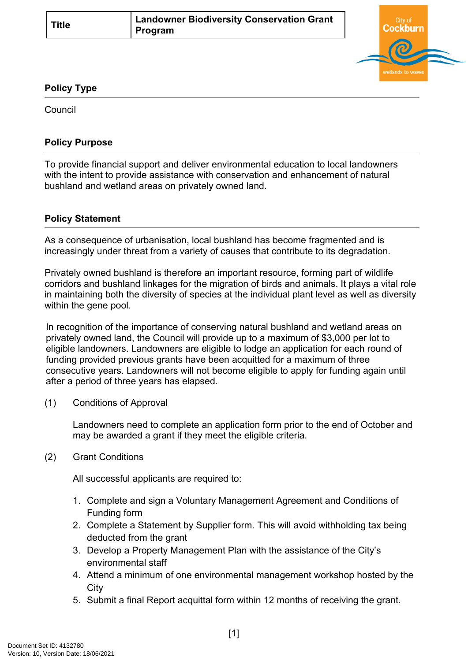

## **Policy Type**

Council

## **Policy Purpose**

To provide financial support and deliver environmental education to local landowners with the intent to provide assistance with conservation and enhancement of natural bushland and wetland areas on privately owned land.

## **[Policy Statement](#page-0-0)**

<span id="page-0-0"></span>As a consequence of urbanisation, local bushland has become fragmented and is increasingly under threat from a variety of causes that contribute to its degradation.

Privately owned bushland is therefore an important resource, forming part of wildlife corridors and bushland linkages for the migration of birds and animals. It plays a vital role in maintaining both the diversity of species at the individual plant level as well as diversity within the gene pool.

In recognition of the importance of conserving natural bushland and wetland areas on privately owned land, the Council will provide up to a maximum of \$3,000 per lot to eligible landowners. Landowners are eligible to lodge an application for each round of funding provided previous grants have been acquitted for a maximum of three consecutive years. Landowners will not become eligible to apply for funding again until after a period of three years has elapsed.

(1) Conditions of Approval

Landowners need to complete an application form prior to the end of October and may be awarded a grant if they meet the eligible criteria.

(2) Grant Conditions

All successful applicants are required to:

- 1. Complete and sign a Voluntary Management Agreement and Conditions of Funding form
- 2. Complete a Statement by Supplier form. This will avoid withholding tax being deducted from the grant
- 3. Develop a Property Management Plan with the assistance of the City's environmental staff
- 4. Attend a minimum of one environmental management workshop hosted by the **City**
- 5. Submit a final Report acquittal form within 12 months of receiving the grant.